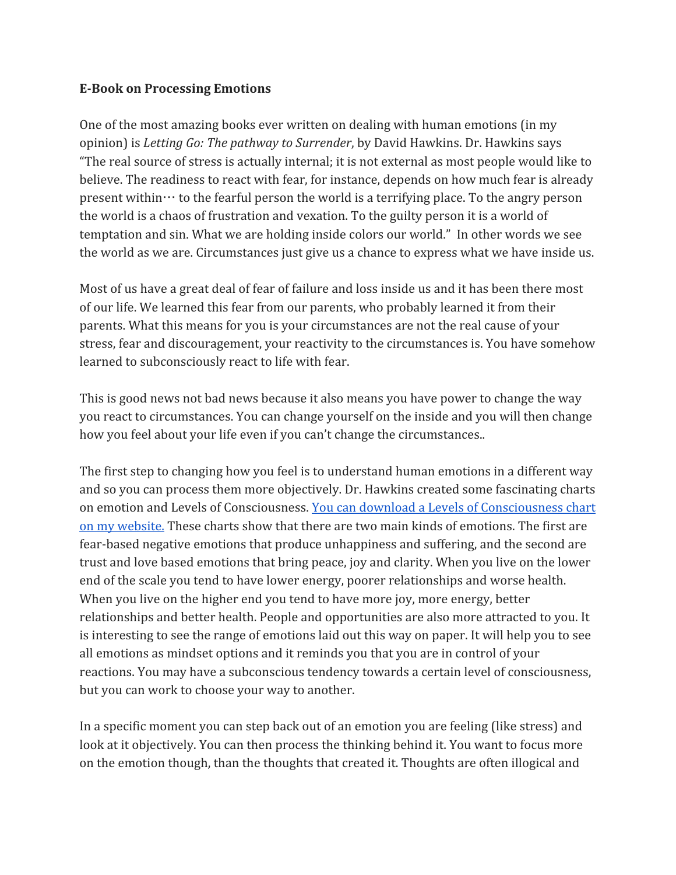## **E-Book on Processing Emotions**

One of the most amazing books ever written on dealing with human emotions (in my opinion) is *Letting Go: The pathway to Surrender*, by David Hawkins. Dr. Hawkins says "The real source of stress is actually internal; it is not external as most people would like to believe. The readiness to react with fear, for instance, depends on how much fear is already present within  $\cdots$  to the fearful person the world is a terrifying place. To the angry person the world is a chaos of frustration and vexation. To the guilty person it is a world of temptation and sin. What we are holding inside colors our world." In other words we see the world as we are. Circumstances just give us a chance to express what we have inside us.

Most of us have a great deal of fear of failure and loss inside us and it has been there most of our life. We learned this fear from our parents, who probably learned it from their parents. What this means for you is your circumstances are not the real cause of your stress, fear and discouragement, your reactivity to the circumstances is. You have somehow learned to subconsciously react to life with fear.

This is good news not bad news because it also means you have power to change the way you react to circumstances. You can change yourself on the inside and you will then change how you feel about your life even if you can't change the circumstances..

The first step to changing how you feel is to understand human emotions in a different way and so you can process them more objectively. Dr. Hawkins created some fascinating charts on emotion and Levels of Consciousness. You can download a Levels of [Consciousness](http://www.claritypointcoaching.com/#!clients/c24vq) chart on my [website.](http://www.claritypointcoaching.com/#!clients/c24vq) These charts show that there are two main kinds of emotions. The first are fear-based negative emotions that produce unhappiness and suffering, and the second are trust and love based emotions that bring peace, joy and clarity. When you live on the lower end of the scale you tend to have lower energy, poorer relationships and worse health. When you live on the higher end you tend to have more joy, more energy, better relationships and better health. People and opportunities are also more attracted to you. It is interesting to see the range of emotions laid out this way on paper. It will help you to see all emotions as mindset options and it reminds you that you are in control of your reactions. You may have a subconscious tendency towards a certain level of consciousness, but you can work to choose your way to another.

In a specific moment you can step back out of an emotion you are feeling (like stress) and look at it objectively. You can then process the thinking behind it. You want to focus more on the emotion though, than the thoughts that created it. Thoughts are often illogical and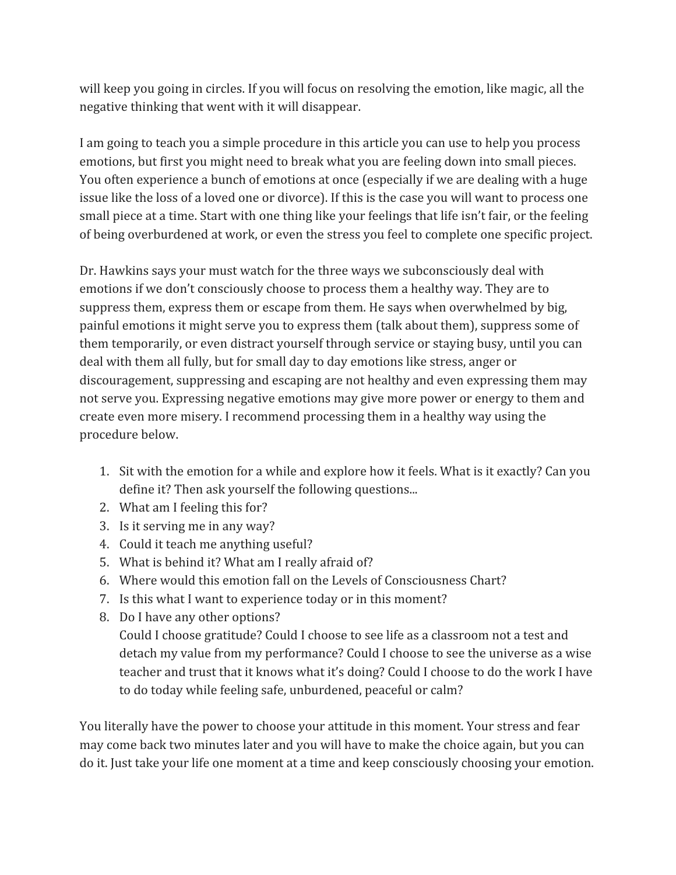will keep you going in circles. If you will focus on resolving the emotion, like magic, all the negative thinking that went with it will disappear.

I am going to teach you a simple procedure in this article you can use to help you process emotions, but first you might need to break what you are feeling down into small pieces. You often experience a bunch of emotions at once (especially if we are dealing with a huge issue like the loss of a loved one or divorce). If this is the case you will want to process one small piece at a time. Start with one thing like your feelings that life isn't fair, or the feeling of being overburdened at work, or even the stress you feel to complete one specific project.

Dr. Hawkins says your must watch for the three ways we subconsciously deal with emotions if we don't consciously choose to process them a healthy way. They are to suppress them, express them or escape from them. He says when overwhelmed by big, painful emotions it might serve you to express them (talk about them), suppress some of them temporarily, or even distract yourself through service or staying busy, until you can deal with them all fully, but for small day to day emotions like stress, anger or discouragement, suppressing and escaping are not healthy and even expressing them may not serve you. Expressing negative emotions may give more power or energy to them and create even more misery. I recommend processing them in a healthy way using the procedure below.

- 1. Sit with the emotion for a while and explore how it feels. What is it exactly? Can you define it? Then ask yourself the following questions...
- 2. What am I feeling this for?
- 3. Is it serving me in any way?
- 4. Could it teach me anything useful?
- 5. What is behind it? What am I really afraid of?
- 6. Where would this emotion fall on the Levels of Consciousness Chart?
- 7. Is this what I want to experience today or in this moment?
- 8. Do I have any other options?

Could I choose gratitude? Could I choose to see life as a classroom not a test and detach my value from my performance? Could I choose to see the universe as a wise teacher and trust that it knows what it's doing? Could I choose to do the work I have to do today while feeling safe, unburdened, peaceful or calm?

You literally have the power to choose your attitude in this moment. Your stress and fear may come back two minutes later and you will have to make the choice again, but you can do it. Just take your life one moment at a time and keep consciously choosing your emotion.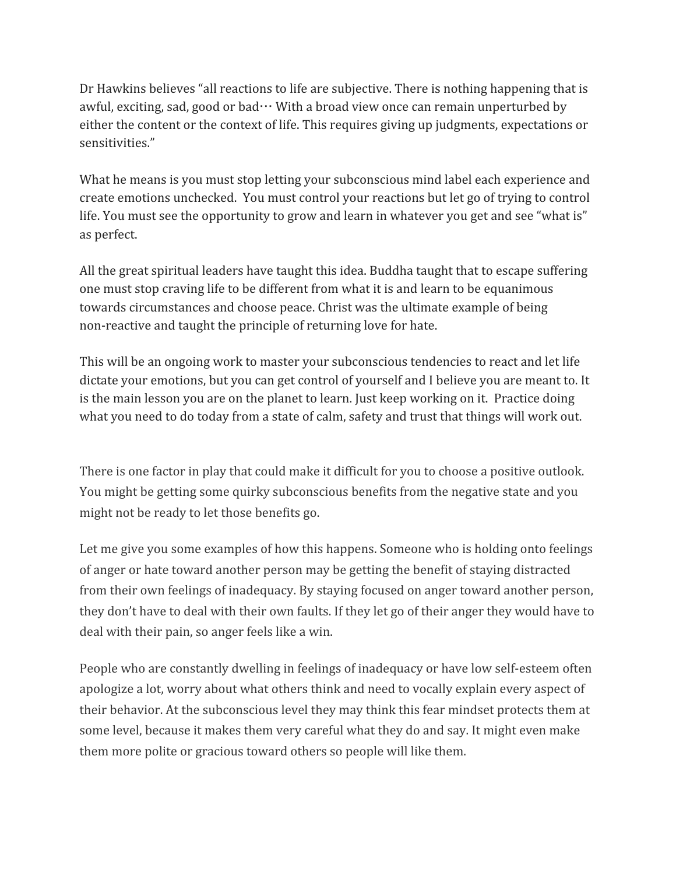Dr Hawkins believes "all reactions to life are subjective. There is nothing happening that is awful, exciting, sad, good or bad $\cdots$  With a broad view once can remain unperturbed by either the content or the context of life. This requires giving up judgments, expectations or sensitivities."

What he means is you must stop letting your subconscious mind label each experience and create emotions unchecked. You must control your reactions but let go of trying to control life. You must see the opportunity to grow and learn in whatever you get and see "what is" as perfect.

All the great spiritual leaders have taught this idea. Buddha taught that to escape suffering one must stop craving life to be different from what it is and learn to be equanimous towards circumstances and choose peace. Christ was the ultimate example of being non-reactive and taught the principle of returning love for hate.

This will be an ongoing work to master your subconscious tendencies to react and let life dictate your emotions, but you can get control of yourself and I believe you are meant to. It is the main lesson you are on the planet to learn. Just keep working on it. Practice doing what you need to do today from a state of calm, safety and trust that things will work out.

There is one factor in play that could make it difficult for you to choose a positive outlook. You might be getting some quirky subconscious benefits from the negative state and you might not be ready to let those benefits go.

Let me give you some examples of how this happens. Someone who is holding onto feelings of anger or hate toward another person may be getting the benefit of staying distracted from their own feelings of inadequacy. By staying focused on anger toward another person, they don't have to deal with their own faults. If they let go of their anger they would have to deal with their pain, so anger feels like a win.

People who are constantly dwelling in feelings of inadequacy or have low self-esteem often apologize a lot, worry about what others think and need to vocally explain every aspect of their behavior. At the subconscious level they may think this fear mindset protects them at some level, because it makes them very careful what they do and say. It might even make them more polite or gracious toward others so people will like them.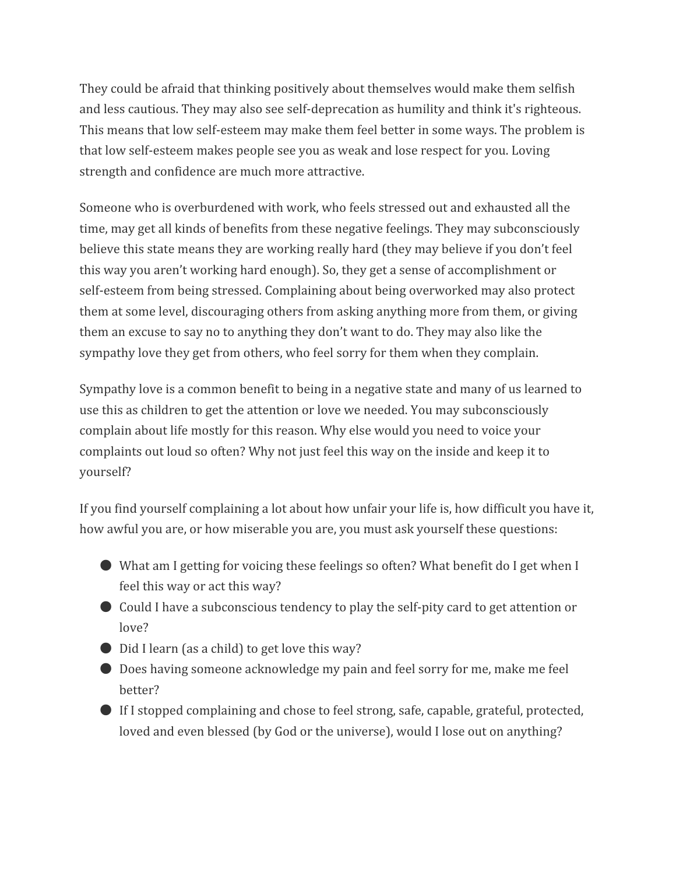They could be afraid that thinking positively about themselves would make them selfish and less cautious. They may also see self-deprecation as humility and think it's righteous. This means that low self-esteem may make them feel better in some ways. The problem is that low self-esteem makes people see you as weak and lose respect for you. Loving strength and confidence are much more attractive.

Someone who is overburdened with work, who feels stressed out and exhausted all the time, may get all kinds of benefits from these negative feelings. They may subconsciously believe this state means they are working really hard (they may believe if you don't feel this way you aren't working hard enough). So, they get a sense of accomplishment or self-esteem from being stressed. Complaining about being overworked may also protect them at some level, discouraging others from asking anything more from them, or giving them an excuse to say no to anything they don't want to do. They may also like the sympathy love they get from others, who feel sorry for them when they complain.

Sympathy love is a common benefit to being in a negative state and many of us learned to use this as children to get the attention or love we needed. You may subconsciously complain about life mostly for this reason. Why else would you need to voice your complaints out loud so often? Why not just feel this way on the inside and keep it to yourself?

If you find yourself complaining a lot about how unfair your life is, how difficult you have it, how awful you are, or how miserable you are, you must ask yourself these questions:

- What am I getting for voicing these feelings so often? What benefit do I get when I feel this way or act this way?
- Could I have a subconscious tendency to play the self-pity card to get attention or love?
- Did I learn (as a child) to get love this way?
- Does having someone acknowledge my pain and feel sorry for me, make me feel better?
- If I stopped complaining and chose to feel strong, safe, capable, grateful, protected, loved and even blessed (by God or the universe), would I lose out on anything?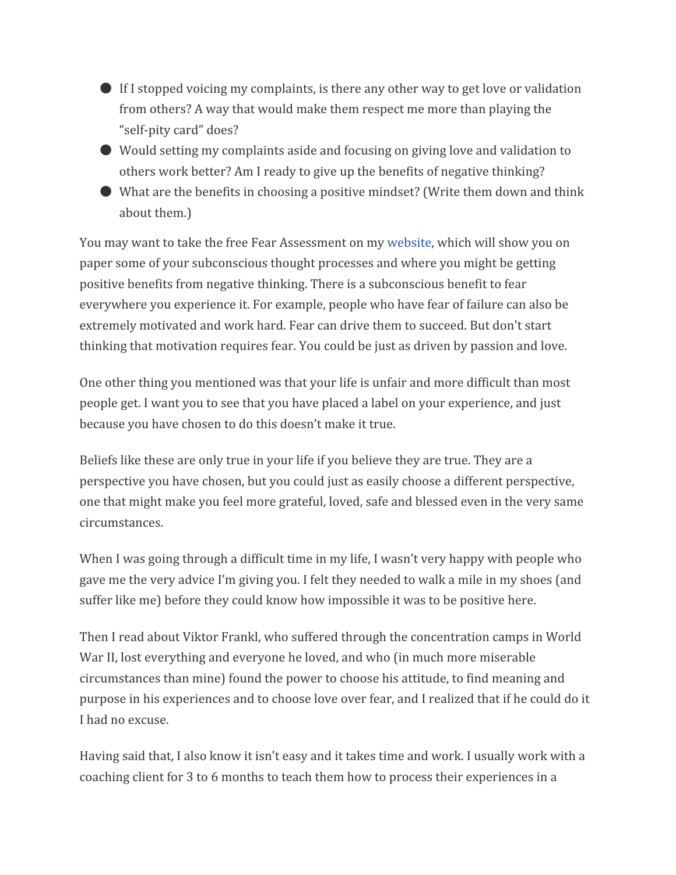- If I stopped voicing my complaints, is there any other way to get love or validation from others? A way that would make them respect me more than playing the "self-pity card" does?
- Would setting my complaints aside and focusing on giving love and validation to others work better? Am I ready to give up the benefits of negative thinking?
- What are the benefits in choosing a positive mindset? (Write them down and think about them.)

You may want to take the free Fear Assessment on my [website,](http://www.claritypointcoaching.com/) which will show you on paper some of your subconscious thought processes and where you might be getting positive benefits from negative thinking. There is a subconscious benefit to fear everywhere you experience it. For example, people who have fear of failure can also be extremely motivated and work hard. Fear can drive them to succeed. But don't start thinking that motivation requires fear. You could be just as driven by passion and love.

One other thing you mentioned was that your life is unfair and more difficult than most people get. I want you to see that you have placed a label on your experience, and just because you have chosen to do this doesn't make it true.

Beliefs like these are only true in your life if you believe they are true. They are a perspective you have chosen, but you could just as easily choose a different perspective, one that might make you feel more grateful, loved, safe and blessed even in the very same circumstances.

When I was going through a difficult time in my life, I wasn't very happy with people who gave me the very advice I'm giving you. I felt they needed to walk a mile in my shoes (and suffer like me) before they could know how impossible it was to be positive here.

Then I read about Viktor Frankl, who suffered through the concentration camps in World War II, lost everything and everyone he loved, and who (in much more miserable circumstances than mine) found the power to choose his attitude, to find meaning and purpose in his experiences and to choose love over fear, and I realized that if he could do it I had no excuse.

Having said that, I also know it isn't easy and it takes time and work. I usually work with a coaching client for 3 to 6 months to teach them how to process their experiences in a